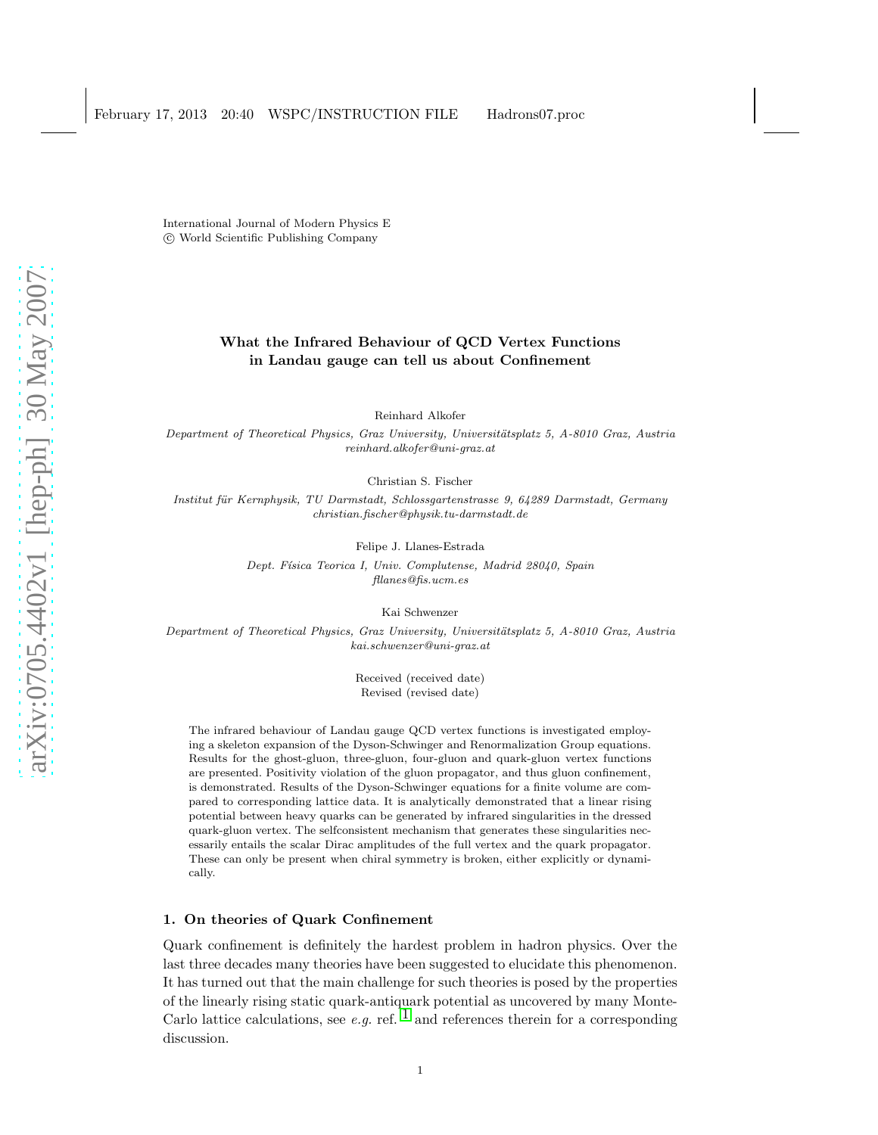International Journal of Modern Physics E c World Scientific Publishing Company

# What the Infrared Behaviour of QCD Vertex Functions in Landau gauge can tell us about Confinement

Reinhard Alkofer

Department of Theoretical Physics, Graz University, Universitätsplatz 5, A-8010 Graz, Austria reinhard.alkofer@uni-graz.at

Christian S. Fischer

Institut für Kernphysik, TU Darmstadt, Schlossgartenstrasse 9, 64289 Darmstadt, Germany christian.fischer@physik.tu-darmstadt.de

Felipe J. Llanes-Estrada

Dept. Física Teorica I, Univ. Complutense, Madrid 28040, Spain fllanes@fis.ucm.es

Kai Schwenzer

Department of Theoretical Physics, Graz University, Universitätsplatz 5, A-8010 Graz, Austria kai.schwenzer@uni-graz.at

> Received (received date) Revised (revised date)

The infrared behaviour of Landau gauge QCD vertex functions is investigated employing a skeleton expansion of the Dyson-Schwinger and Renormalization Group equations. Results for the ghost-gluon, three-gluon, four-gluon and quark-gluon vertex functions are presented. Positivity violation of the gluon propagator, and thus gluon confinement, is demonstrated. Results of the Dyson-Schwinger equations for a finite volume are compared to corresponding lattice data. It is analytically demonstrated that a linear rising potential between heavy quarks can be generated by infrared singularities in the dressed quark-gluon vertex. The selfconsistent mechanism that generates these singularities necessarily entails the scalar Dirac amplitudes of the full vertex and the quark propagator. These can only be present when chiral symmetry is broken, either explicitly or dynamically.

# 1. On theories of Quark Confinement

Quark confinement is definitely the hardest problem in hadron physics. Over the last three decades many theories have been suggested to elucidate this phenomenon. It has turned out that the main challenge for such theories is posed by the properties of the linearly rising static quark-antiquark potential as uncovered by many Monte-Carlo lattice calculations, see e.g. ref.  $\frac{1}{1}$  $\frac{1}{1}$  $\frac{1}{1}$  and references therein for a corresponding discussion.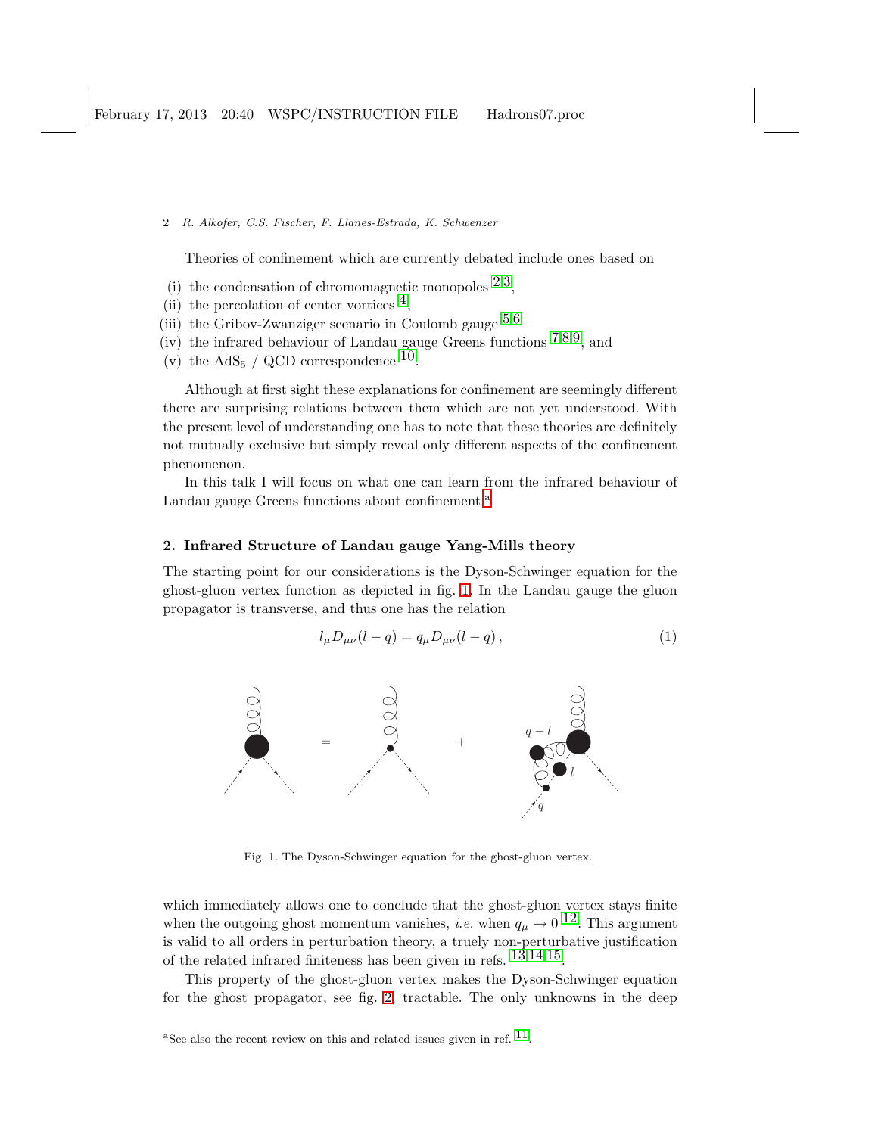Theories of confinement which are currently debated include ones based on

- (i) the condensation of chromomagnetic monopoles  $2,3$  $2,3$ ,
- (ii) the percolation of center vortices  $\frac{4}{3}$ ,
- (iii) the Gribov-Zwanziger scenario in Coulomb gauge  $5.6$  $5.6$  $5.6$
- $(iv)$  the infrared behaviour of Landau gauge Greens functions  $7,8,9$  $7,8,9$  $7,8,9$  $7,8,9$ , and
- (v) the AdS<sub>5</sub> / QCD correspondence <sup>10</sup>.

Although at first sight these explanations for confinement are seemingly different there are surprising relations between them which are not yet understood. With the present level of understanding one has to note that these theories are definitely not mutually exclusive but simply reveal only different aspects of the confinement phenomenon.

In this talk I will focus on what one can learn from the infrared behaviour of L[a](#page-1-0)ndau gauge Greens functions about confinement.<sup>a</sup>

# 2. Infrared Structure of Landau gauge Yang-Mills theory

The starting point for our considerations is the Dyson-Schwinger equation for the ghost-gluon vertex function as depicted in fig. [1.](#page-1-1) In the Landau gauge the gluon propagator is transverse, and thus one has the relation

$$
l_{\mu}D_{\mu\nu}(l-q) = q_{\mu}D_{\mu\nu}(l-q), \qquad (1)
$$



<span id="page-1-1"></span>Fig. 1. The Dyson-Schwinger equation for the ghost-gluon vertex.

which immediately allows one to conclude that the ghost-gluon vertex stays finite when the outgoing ghost momentum vanishes, *i.e.* when  $q_{\mu} \rightarrow 0$  <sup>12</sup>. This argument is valid to all orders in perturbation theory, a truely non-perturbative justification of the related infrared finiteness has been given in refs. [13](#page-11-11),[14](#page-12-0),[15.](#page-12-1)

<span id="page-1-0"></span>This property of the ghost-gluon vertex makes the Dyson-Schwinger equation for the ghost propagator, see fig. [2,](#page-2-0) tractable. The only unknowns in the deep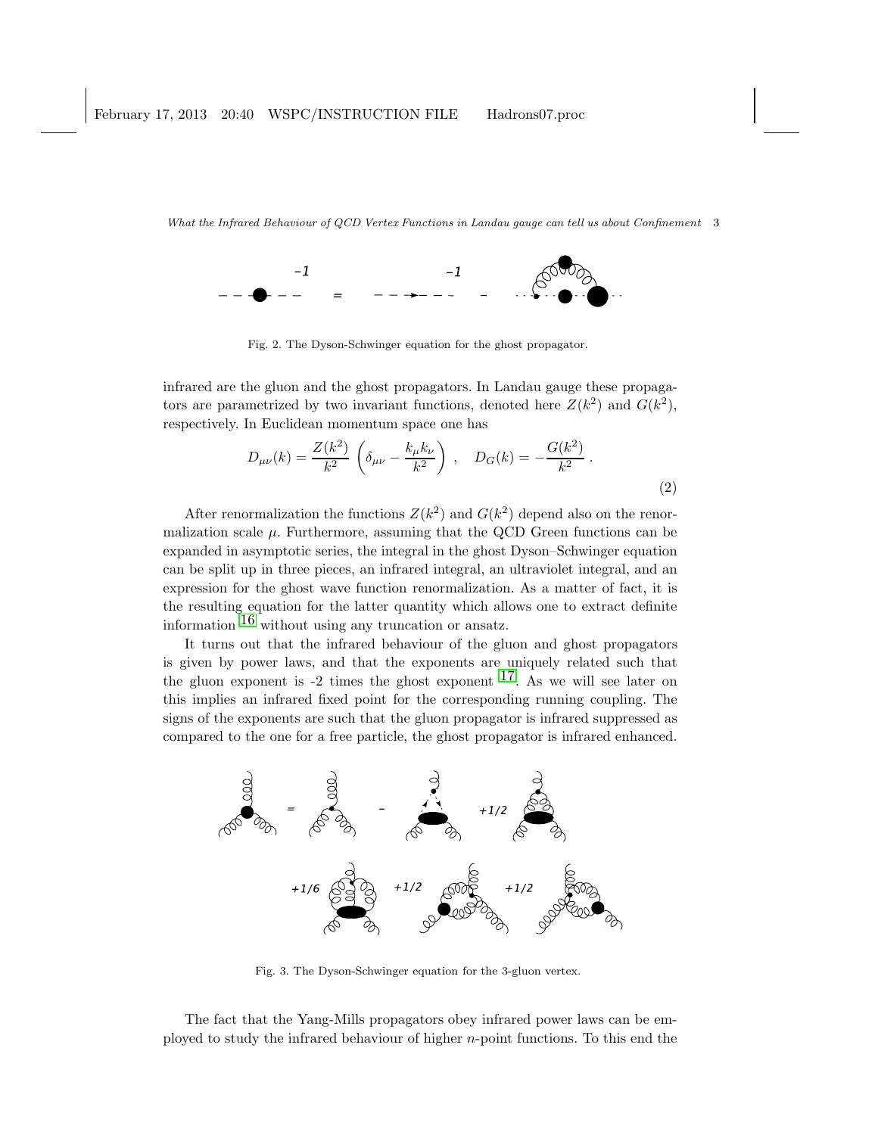

<span id="page-2-0"></span>Fig. 2. The Dyson-Schwinger equation for the ghost propagator.

infrared are the gluon and the ghost propagators. In Landau gauge these propagators are parametrized by two invariant functions, denoted here  $Z(k^2)$  and  $G(k^2)$ , respectively. In Euclidean momentum space one has

$$
D_{\mu\nu}(k) = \frac{Z(k^2)}{k^2} \left( \delta_{\mu\nu} - \frac{k_{\mu}k_{\nu}}{k^2} \right) , \quad D_G(k) = -\frac{G(k^2)}{k^2} .
$$
 (2)

After renormalization the functions  $Z(k^2)$  and  $G(k^2)$  depend also on the renormalization scale  $\mu$ . Furthermore, assuming that the QCD Green functions can be expanded in asymptotic series, the integral in the ghost Dyson–Schwinger equation can be split up in three pieces, an infrared integral, an ultraviolet integral, and an expression for the ghost wave function renormalization. As a matter of fact, it is the resulting equation for the latter quantity which allows one to extract definite information [16](#page-12-2) without using any truncation or ansatz.

It turns out that the infrared behaviour of the gluon and ghost propagators is given by power laws, and that the exponents are uniquely related such that the gluon exponent is  $-2$  times the ghost exponent  $17$ . As we will see later on this implies an infrared fixed point for the corresponding running coupling. The signs of the exponents are such that the gluon propagator is infrared suppressed as compared to the one for a free particle, the ghost propagator is infrared enhanced.



<span id="page-2-1"></span>Fig. 3. The Dyson-Schwinger equation for the 3-gluon vertex.

The fact that the Yang-Mills propagators obey infrared power laws can be employed to study the infrared behaviour of higher n-point functions. To this end the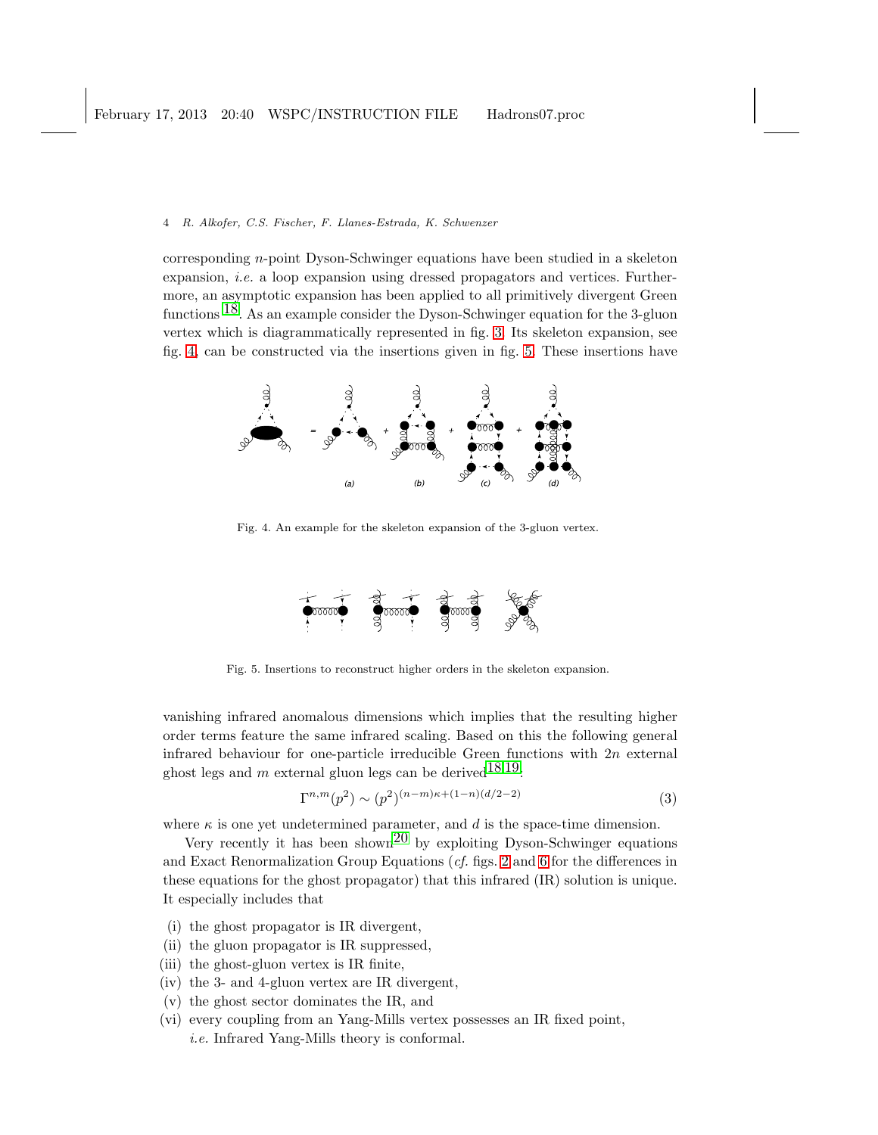corresponding n-point Dyson-Schwinger equations have been studied in a skeleton expansion, i.e. a loop expansion using dressed propagators and vertices. Furthermore, an asymptotic expansion has been applied to all primitively divergent Green functions [18.](#page-12-4) As an example consider the Dyson-Schwinger equation for the 3-gluon vertex which is diagrammatically represented in fig. [3.](#page-2-1) Its skeleton expansion, see fig. [4,](#page-3-0) can be constructed via the insertions given in fig. [5.](#page-3-1) These insertions have



<span id="page-3-0"></span>Fig. 4. An example for the skeleton expansion of the 3-gluon vertex.



<span id="page-3-1"></span>Fig. 5. Insertions to reconstruct higher orders in the skeleton expansion.

vanishing infrared anomalous dimensions which implies that the resulting higher order terms feature the same infrared scaling. Based on this the following general infrared behaviour for one-particle irreducible Green functions with  $2n$  external ghost legs and m external gluon legs can be derived  $18,19$ :

<span id="page-3-2"></span>
$$
\Gamma^{n,m}(p^2) \sim (p^2)^{(n-m)\kappa + (1-n)(d/2-2)}\tag{3}
$$

where  $\kappa$  is one yet undetermined parameter, and  $d$  is the space-time dimension.

Very recently it has been shown<sup>20</sup> by exploiting Dyson-Schwinger equations and Exact Renormalization Group Equations (cf. figs. [2](#page-2-0) and [6](#page-4-0) for the differences in these equations for the ghost propagator) that this infrared (IR) solution is unique. It especially includes that

- (i) the ghost propagator is IR divergent,
- (ii) the gluon propagator is IR suppressed,
- (iii) the ghost-gluon vertex is IR finite,
- (iv) the 3- and 4-gluon vertex are IR divergent,
- (v) the ghost sector dominates the IR, and
- (vi) every coupling from an Yang-Mills vertex possesses an IR fixed point, i.e. Infrared Yang-Mills theory is conformal.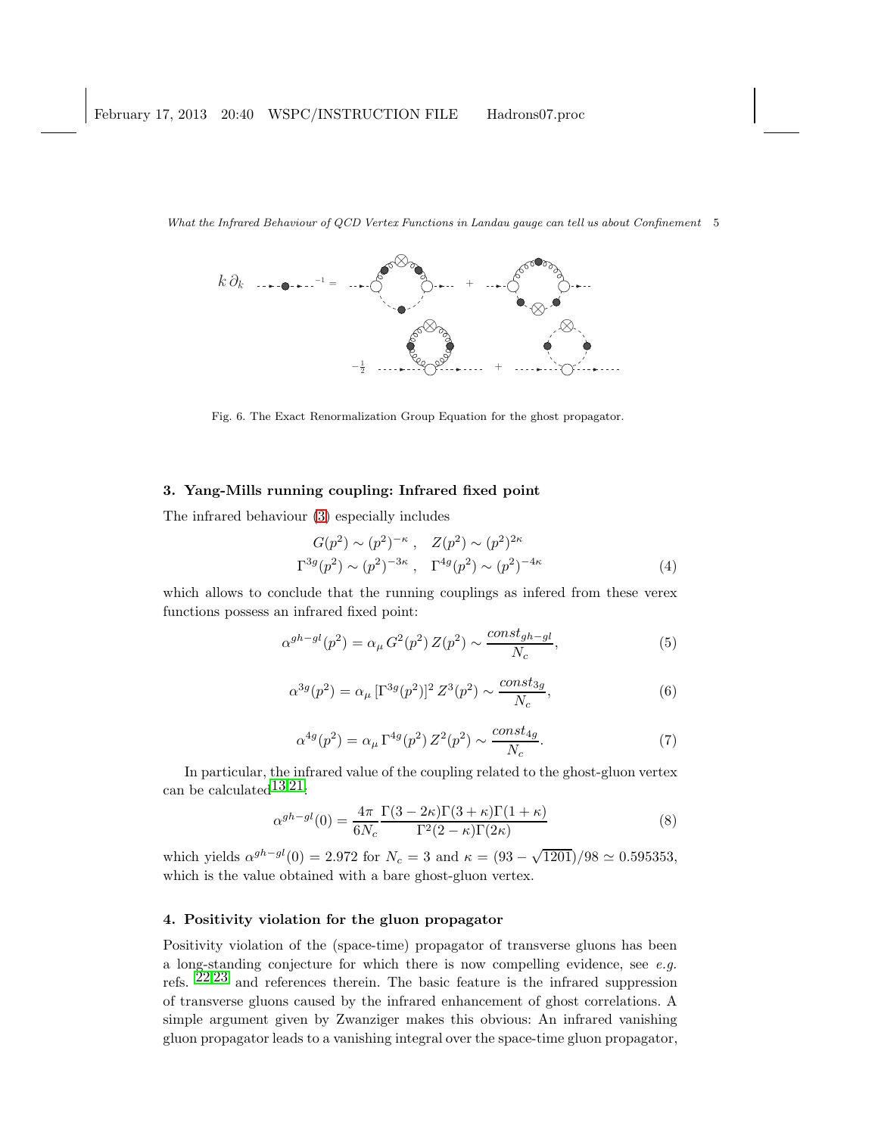

<span id="page-4-0"></span>Fig. 6. The Exact Renormalization Group Equation for the ghost propagator.

# 3. Yang-Mills running coupling: Infrared fixed point

The infrared behaviour [\(3\)](#page-3-2) especially includes

$$
G(p^2) \sim (p^2)^{-\kappa}, \quad Z(p^2) \sim (p^2)^{2\kappa}
$$
  

$$
\Gamma^{3g}(p^2) \sim (p^2)^{-3\kappa}, \quad \Gamma^{4g}(p^2) \sim (p^2)^{-4\kappa}
$$
 (4)

which allows to conclude that the running couplings as infered from these verex functions possess an infrared fixed point:

$$
\alpha^{gh-gl}(p^2) = \alpha_\mu G^2(p^2) Z(p^2) \sim \frac{const_{gh-gl}}{N_c},\tag{5}
$$

$$
\alpha^{3g}(p^2) = \alpha_{\mu} \left[\Gamma^{3g}(p^2)\right]^2 Z^3(p^2) \sim \frac{\text{const}_{3g}}{N_c},\tag{6}
$$

$$
\alpha^{4g}(p^2) = \alpha_{\mu} \Gamma^{4g}(p^2) Z^2(p^2) \sim \frac{const_{4g}}{N_c}.
$$
 (7)

In particular, the infrared value of the coupling related to the ghost-gluon vertex can be calculated  $13,21$ :

$$
\alpha^{gh-gl}(0) = \frac{4\pi}{6N_c} \frac{\Gamma(3-2\kappa)\Gamma(3+\kappa)\Gamma(1+\kappa)}{\Gamma^2(2-\kappa)\Gamma(2\kappa)}\tag{8}
$$

which yields  $\alpha^{gh-gl}(0) = 2.972$  for  $N_c = 3$  and  $\kappa = (93 - \sqrt{1201})/98 \simeq 0.595353$ , which is the value obtained with a bare ghost-gluon vertex.

# 4. Positivity violation for the gluon propagator

Positivity violation of the (space-time) propagator of transverse gluons has been a long-standing conjecture for which there is now compelling evidence, see e.g. refs.  $22.23$  $22.23$  $22.23$  and references therein. The basic feature is the infrared suppression of transverse gluons caused by the infrared enhancement of ghost correlations. A simple argument given by Zwanziger makes this obvious: An infrared vanishing gluon propagator leads to a vanishing integral over the space-time gluon propagator,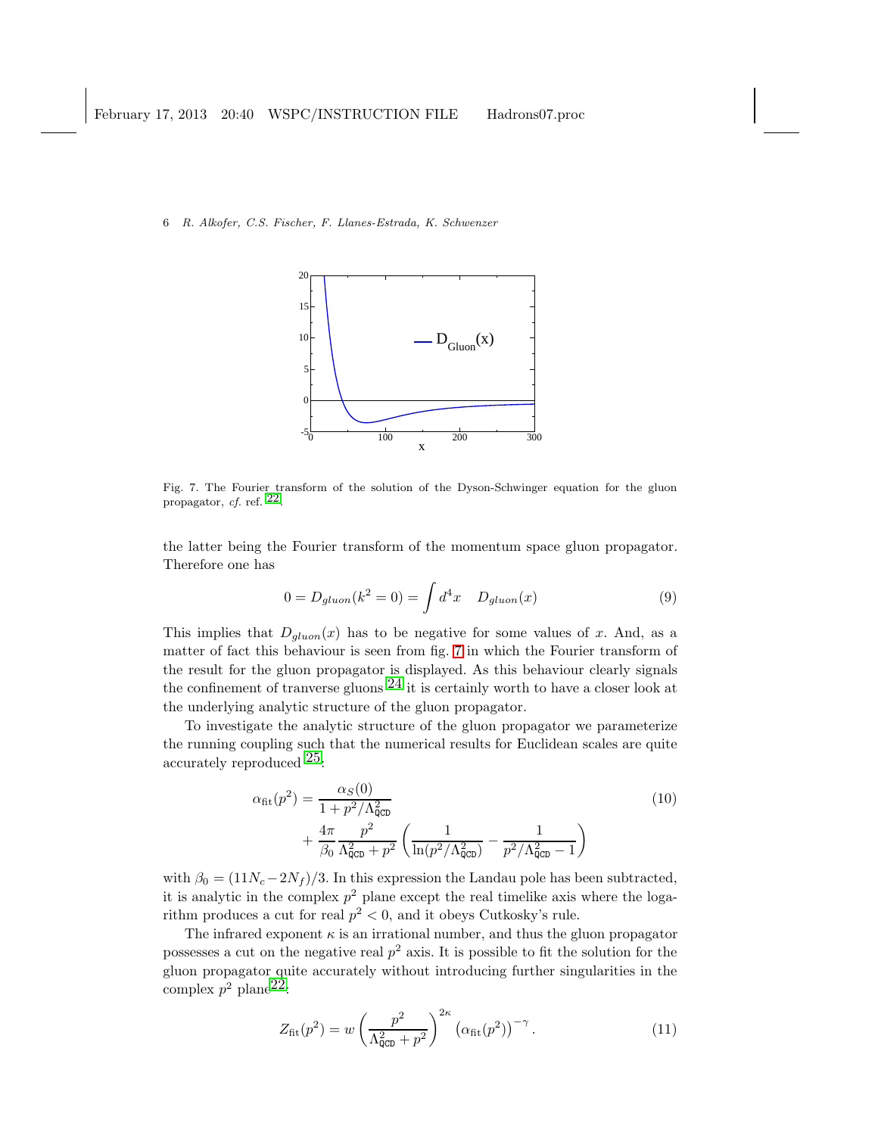

<span id="page-5-0"></span>Fig. 7. The Fourier transform of the solution of the Dyson-Schwinger equation for the gluon propagator, cf. ref. [22.](#page-12-8)

the latter being the Fourier transform of the momentum space gluon propagator. Therefore one has

$$
0 = D_{gluon}(k^2 = 0) = \int d^4x \quad D_{gluon}(x) \tag{9}
$$

This implies that  $D_{gluon}(x)$  has to be negative for some values of x. And, as a matter of fact this behaviour is seen from fig. [7](#page-5-0) in which the Fourier transform of the result for the gluon propagator is displayed. As this behaviour clearly signals the confinement of tranverse gluons  $^{24}$  $^{24}$  $^{24}$  it is certainly worth to have a closer look at the underlying analytic structure of the gluon propagator.

To investigate the analytic structure of the gluon propagator we parameterize the running coupling such that the numerical results for Euclidean scales are quite accurately reproduced  $25$ :

$$
\alpha_{\rm fit}(p^2) = \frac{\alpha_S(0)}{1 + p^2/\Lambda_{\rm QCD}^2} + \frac{4\pi}{\beta_0} \frac{p^2}{\Lambda_{\rm QCD}^2 + p^2} \left( \frac{1}{\ln(p^2/\Lambda_{\rm QCD}^2)} - \frac{1}{p^2/\Lambda_{\rm QCD}^2 - 1} \right)
$$
(10)

with  $\beta_0 = (11N_c - 2N_f)/3$ . In this expression the Landau pole has been subtracted, it is analytic in the complex  $p^2$  plane except the real timelike axis where the logarithm produces a cut for real  $p^2 < 0$ , and it obeys Cutkosky's rule.

The infrared exponent  $\kappa$  is an irrational number, and thus the gluon propagator possesses a cut on the negative real  $p^2$  axis. It is possible to fit the solution for the gluon propagator quite accurately without introducing further singularities in the complex  $p^2$  plane<sup>22</sup>:

<span id="page-5-1"></span>
$$
Z_{\text{fit}}(p^2) = w \left(\frac{p^2}{\Lambda_{\text{QCD}}^2 + p^2}\right)^{2\kappa} \left(\alpha_{\text{fit}}(p^2)\right)^{-\gamma}.
$$
 (11)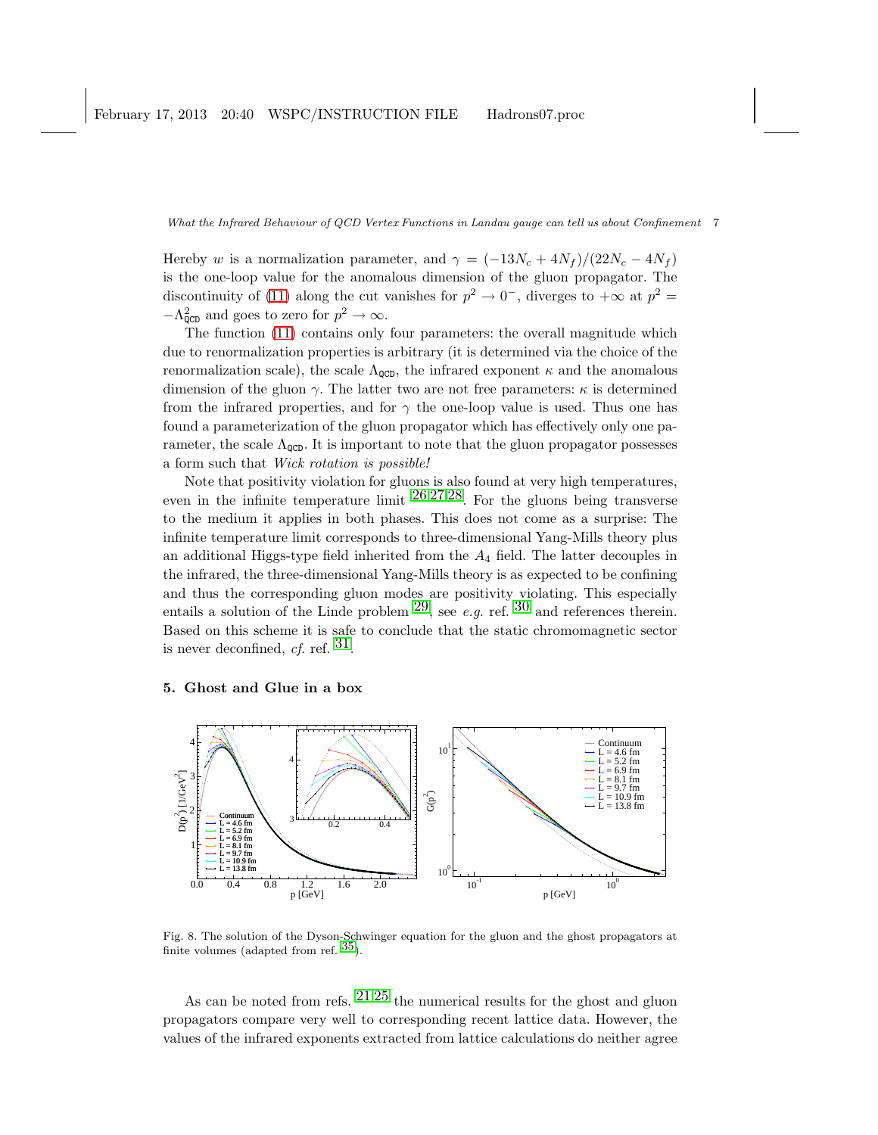Hereby w is a normalization parameter, and  $\gamma = (-13N_c + 4N_f)/(22N_c - 4N_f)$ is the one-loop value for the anomalous dimension of the gluon propagator. The discontinuity of [\(11\)](#page-5-1) along the cut vanishes for  $p^2 \to 0^-$ , diverges to  $+\infty$  at  $p^2 =$  $-\Lambda_{\text{QCD}}^2$  and goes to zero for  $p^2 \to \infty$ .

The function [\(11\)](#page-5-1) contains only four parameters: the overall magnitude which due to renormalization properties is arbitrary (it is determined via the choice of the renormalization scale), the scale  $\Lambda_{\text{QCD}}$ , the infrared exponent  $\kappa$  and the anomalous dimension of the gluon  $\gamma$ . The latter two are not free parameters:  $\kappa$  is determined from the infrared properties, and for  $\gamma$  the one-loop value is used. Thus one has found a parameterization of the gluon propagator which has effectively only one parameter, the scale  $\Lambda_{\text{QCD}}$ . It is important to note that the gluon propagator possesses a form such that Wick rotation is possible!

Note that positivity violation for gluons is also found at very high temperatures, even in the infinite temperature limit  $26,27,28$  $26,27,28$  $26,27,28$  $26,27,28$ . For the gluons being transverse to the medium it applies in both phases. This does not come as a surprise: The infinite temperature limit corresponds to three-dimensional Yang-Mills theory plus an additional Higgs-type field inherited from the  $A_4$  field. The latter decouples in the infrared, the three-dimensional Yang-Mills theory is as expected to be confining and thus the corresponding gluon modes are positivity violating. This especially entails a solution of the Linde problem  $^{29}$ , see e.g. ref. [30](#page-12-16) and references therein. Based on this scheme it is safe to conclude that the static chromomagnetic sector is never deconfined, cf. ref.  $31$ .

## 5. Ghost and Glue in a box



<span id="page-6-0"></span>Fig. 8. The solution of the Dyson-Schwinger equation for the gluon and the ghost propagators at finite volumes (adapted from ref.  $35$ ).

As can be noted from refs.  $21.25$  $21.25$  $21.25$  the numerical results for the ghost and gluon propagators compare very well to corresponding recent lattice data. However, the values of the infrared exponents extracted from lattice calculations do neither agree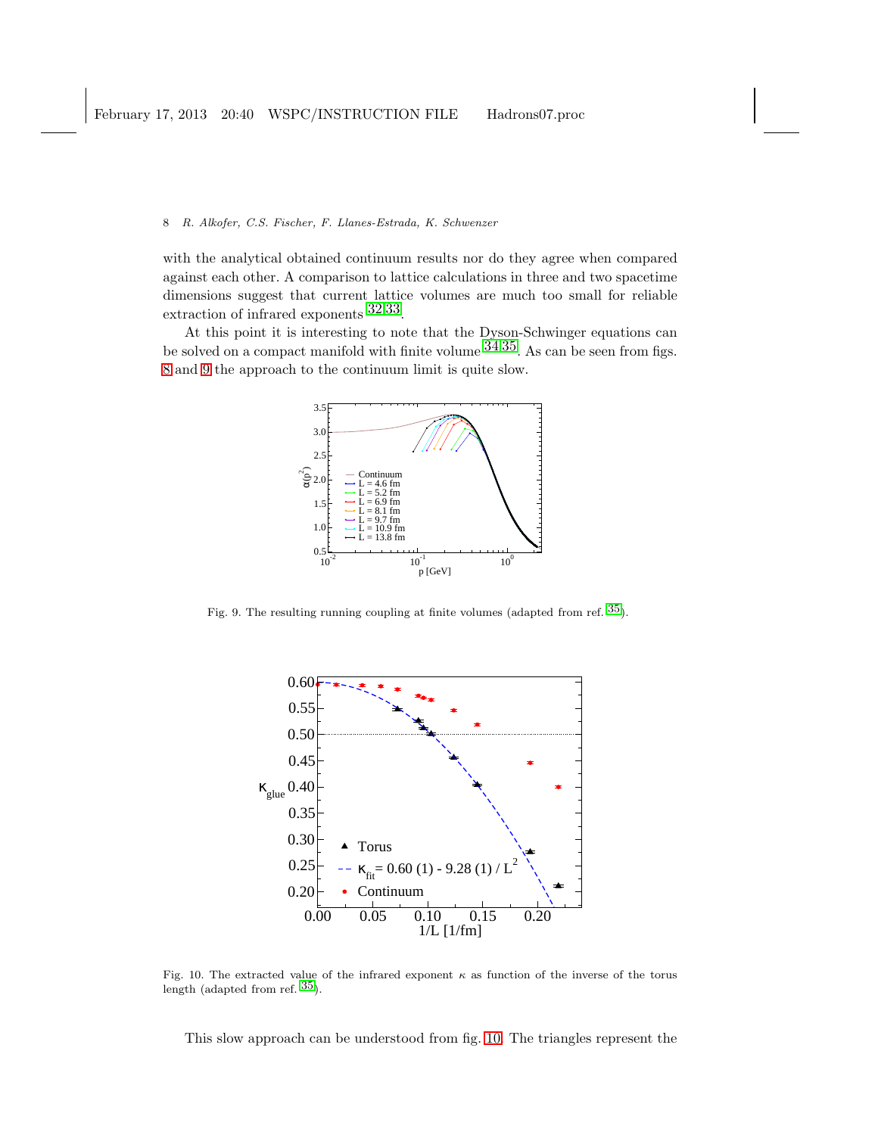with the analytical obtained continuum results nor do they agree when compared against each other. A comparison to lattice calculations in three and two spacetime dimensions suggest that current lattice volumes are much too small for reliable extraction of infrared exponents  $32,33$  $32,33$ .

At this point it is interesting to note that the Dyson-Schwinger equations can be solved on a compact manifold with finite volume  $34,35$  $34,35$ . As can be seen from figs. [8](#page-6-0) and [9](#page-7-0) the approach to the continuum limit is quite slow.



Fig. 9. The resulting running coupling at finite volumes (adapted from ref. [35\)](#page-12-18).

<span id="page-7-0"></span>

<span id="page-7-1"></span>Fig. 10. The extracted value of the infrared exponent  $\kappa$  as function of the inverse of the torus length (adapted from ref. [35\)](#page-12-18).

This slow approach can be understood from fig. [10.](#page-7-1) The triangles represent the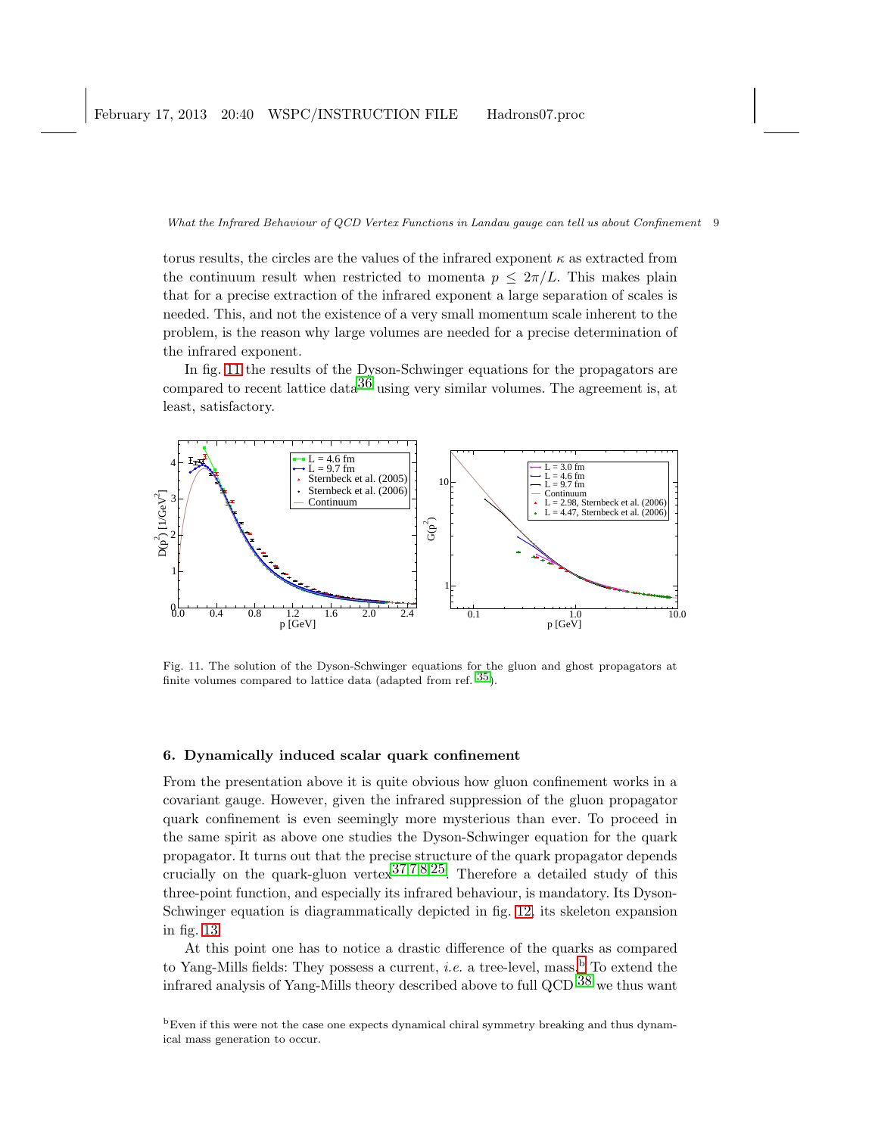torus results, the circles are the values of the infrared exponent  $\kappa$  as extracted from the continuum result when restricted to momenta  $p \leq 2\pi/L$ . This makes plain that for a precise extraction of the infrared exponent a large separation of scales is needed. This, and not the existence of a very small momentum scale inherent to the problem, is the reason why large volumes are needed for a precise determination of the infrared exponent.

In fig. [11](#page-8-0) the results of the Dyson-Schwinger equations for the propagators are compared to recent lattice data<sup>[36](#page-12-22)</sup> using very similar volumes. The agreement is, at least, satisfactory.



<span id="page-8-0"></span>Fig. 11. The solution of the Dyson-Schwinger equations for the gluon and ghost propagators at finite volumes compared to lattice data (adapted from ref.  $35$ ).

# 6. Dynamically induced scalar quark confinement

From the presentation above it is quite obvious how gluon confinement works in a covariant gauge. However, given the infrared suppression of the gluon propagator quark confinement is even seemingly more mysterious than ever. To proceed in the same spirit as above one studies the Dyson-Schwinger equation for the quark propagator. It turns out that the precise structure of the quark propagator depends crucially on the quark-gluon vertex  $37,7,8,25$  $37,7,8,25$  $37,7,8,25$  $37,7,8,25$  $37,7,8,25$ . Therefore a detailed study of this three-point function, and especially its infrared behaviour, is mandatory. Its Dyson-Schwinger equation is diagrammatically depicted in fig. [12,](#page-9-0) its skeleton expansion in fig. [13.](#page-9-1)

At this point one has to notice a drastic difference of the quarks as compared to Yang-Mills fields: They possess a current, *i.e.* a tree-level, mass.<sup>[b](#page-8-1)</sup> To extend the infrared analysis of Yang-Mills theory described above to full QCD  $^{38}$  $^{38}$  $^{38}$  we thus want

<span id="page-8-1"></span><sup>b</sup>Even if this were not the case one expects dynamical chiral symmetry breaking and thus dynamical mass generation to occur.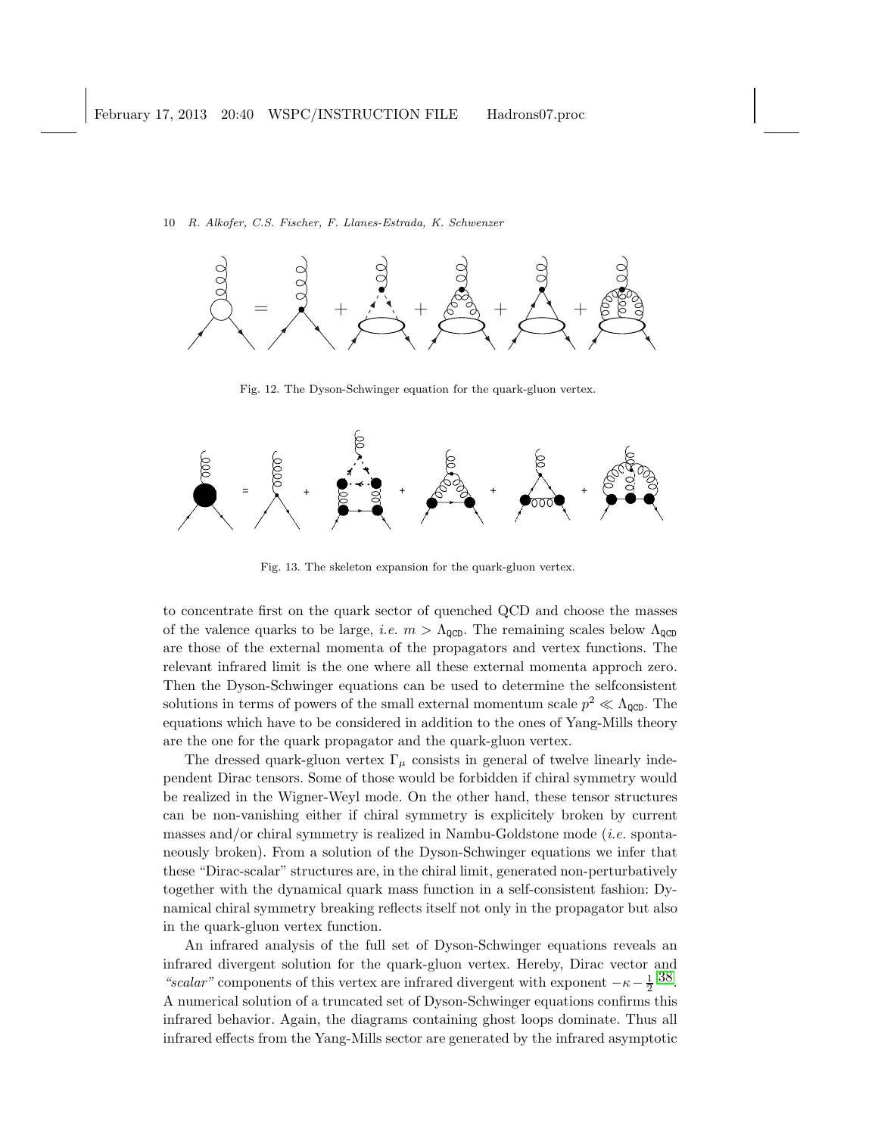

<span id="page-9-0"></span>Fig. 12. The Dyson-Schwinger equation for the quark-gluon vertex.



<span id="page-9-1"></span>Fig. 13. The skeleton expansion for the quark-gluon vertex.

to concentrate first on the quark sector of quenched QCD and choose the masses of the valence quarks to be large, *i.e.*  $m > \Lambda_{\text{QCD}}$ . The remaining scales below  $\Lambda_{\text{QCD}}$ are those of the external momenta of the propagators and vertex functions. The relevant infrared limit is the one where all these external momenta approch zero. Then the Dyson-Schwinger equations can be used to determine the selfconsistent solutions in terms of powers of the small external momentum scale  $p^2 \ll \Lambda_{\text{QCD}}$ . The equations which have to be considered in addition to the ones of Yang-Mills theory are the one for the quark propagator and the quark-gluon vertex.

The dressed quark-gluon vertex  $\Gamma_{\mu}$  consists in general of twelve linearly independent Dirac tensors. Some of those would be forbidden if chiral symmetry would be realized in the Wigner-Weyl mode. On the other hand, these tensor structures can be non-vanishing either if chiral symmetry is explicitely broken by current masses and/or chiral symmetry is realized in Nambu-Goldstone mode (*i.e.* spontaneously broken). From a solution of the Dyson-Schwinger equations we infer that these "Dirac-scalar" structures are, in the chiral limit, generated non-perturbatively together with the dynamical quark mass function in a self-consistent fashion: Dynamical chiral symmetry breaking reflects itself not only in the propagator but also in the quark-gluon vertex function.

An infrared analysis of the full set of Dyson-Schwinger equations reveals an infrared divergent solution for the quark-gluon vertex. Hereby, Dirac vector and "scalar" components of this vertex are infrared divergent with exponent  $-\kappa - \frac{1}{2}$  [38.](#page-12-24) A numerical solution of a truncated set of Dyson-Schwinger equations confirms this infrared behavior. Again, the diagrams containing ghost loops dominate. Thus all infrared effects from the Yang-Mills sector are generated by the infrared asymptotic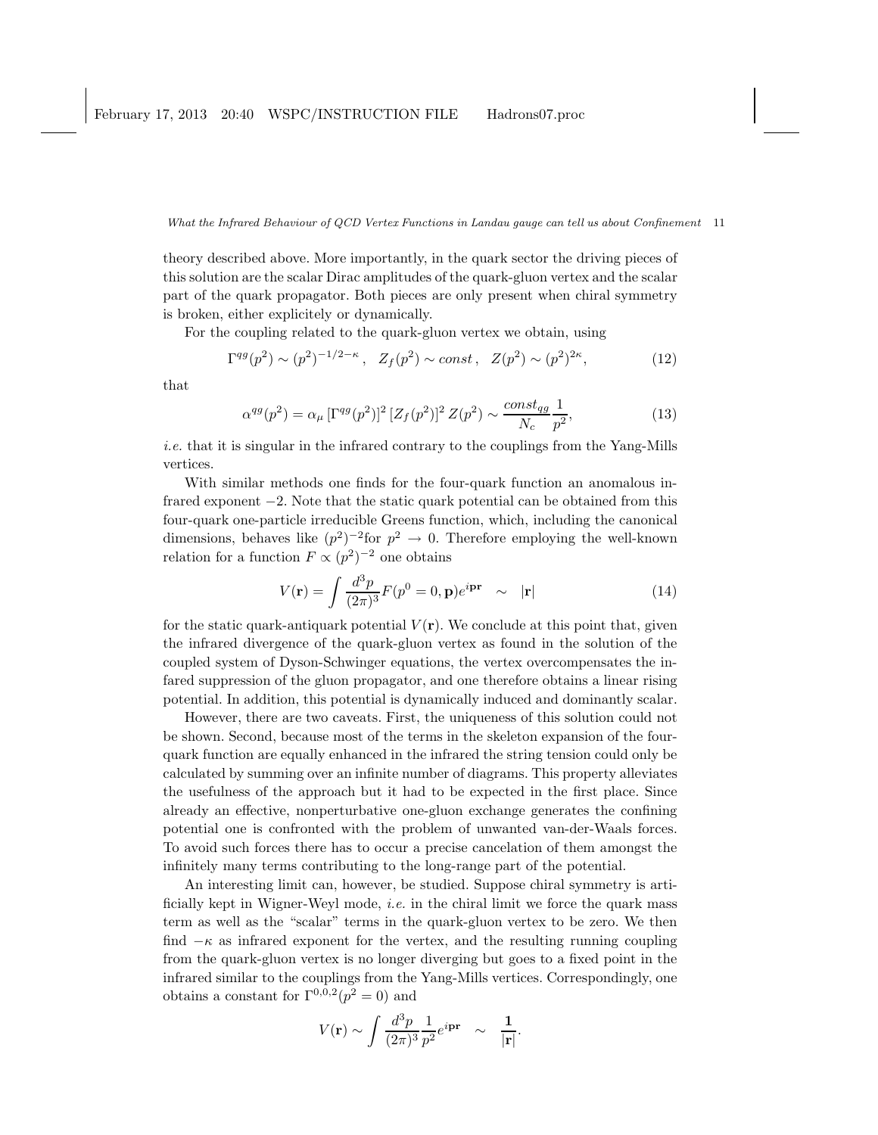theory described above. More importantly, in the quark sector the driving pieces of this solution are the scalar Dirac amplitudes of the quark-gluon vertex and the scalar part of the quark propagator. Both pieces are only present when chiral symmetry is broken, either explicitely or dynamically.

For the coupling related to the quark-gluon vertex we obtain, using

$$
\Gamma^{qg}(p^2) \sim (p^2)^{-1/2 - \kappa}, \quad Z_f(p^2) \sim const, \quad Z(p^2) \sim (p^2)^{2\kappa}, \tag{12}
$$

that

$$
\alpha^{qg}(p^2) = \alpha_{\mu} \left[\Gamma^{qg}(p^2)\right]^2 [Z_f(p^2)]^2 Z(p^2) \sim \frac{\text{const}_{qg}}{N_c} \frac{1}{p^2},\tag{13}
$$

i.e. that it is singular in the infrared contrary to the couplings from the Yang-Mills vertices.

With similar methods one finds for the four-quark function an anomalous infrared exponent −2. Note that the static quark potential can be obtained from this four-quark one-particle irreducible Greens function, which, including the canonical dimensions, behaves like  $(p^2)^{-2}$  for  $p^2 \to 0$ . Therefore employing the well-known relation for a function  $F \propto (p^2)^{-2}$  one obtains

$$
V(\mathbf{r}) = \int \frac{d^3p}{(2\pi)^3} F(p^0 = 0, \mathbf{p}) e^{i\mathbf{p}\mathbf{r}} \sim |\mathbf{r}| \qquad (14)
$$

for the static quark-antiquark potential  $V(\mathbf{r})$ . We conclude at this point that, given the infrared divergence of the quark-gluon vertex as found in the solution of the coupled system of Dyson-Schwinger equations, the vertex overcompensates the infared suppression of the gluon propagator, and one therefore obtains a linear rising potential. In addition, this potential is dynamically induced and dominantly scalar.

However, there are two caveats. First, the uniqueness of this solution could not be shown. Second, because most of the terms in the skeleton expansion of the fourquark function are equally enhanced in the infrared the string tension could only be calculated by summing over an infinite number of diagrams. This property alleviates the usefulness of the approach but it had to be expected in the first place. Since already an effective, nonperturbative one-gluon exchange generates the confining potential one is confronted with the problem of unwanted van-der-Waals forces. To avoid such forces there has to occur a precise cancelation of them amongst the infinitely many terms contributing to the long-range part of the potential.

An interesting limit can, however, be studied. Suppose chiral symmetry is artificially kept in Wigner-Weyl mode, i.e. in the chiral limit we force the quark mass term as well as the "scalar" terms in the quark-gluon vertex to be zero. We then find  $-\kappa$  as infrared exponent for the vertex, and the resulting running coupling from the quark-gluon vertex is no longer diverging but goes to a fixed point in the infrared similar to the couplings from the Yang-Mills vertices. Correspondingly, one obtains a constant for  $\Gamma^{0,0,2}(p^2=0)$  and

$$
V(\mathbf{r}) \sim \int \frac{d^3p}{(2\pi)^3} \frac{1}{p^2} e^{i\mathbf{p}\mathbf{r}} \quad \sim \quad \frac{1}{|\mathbf{r}|}.
$$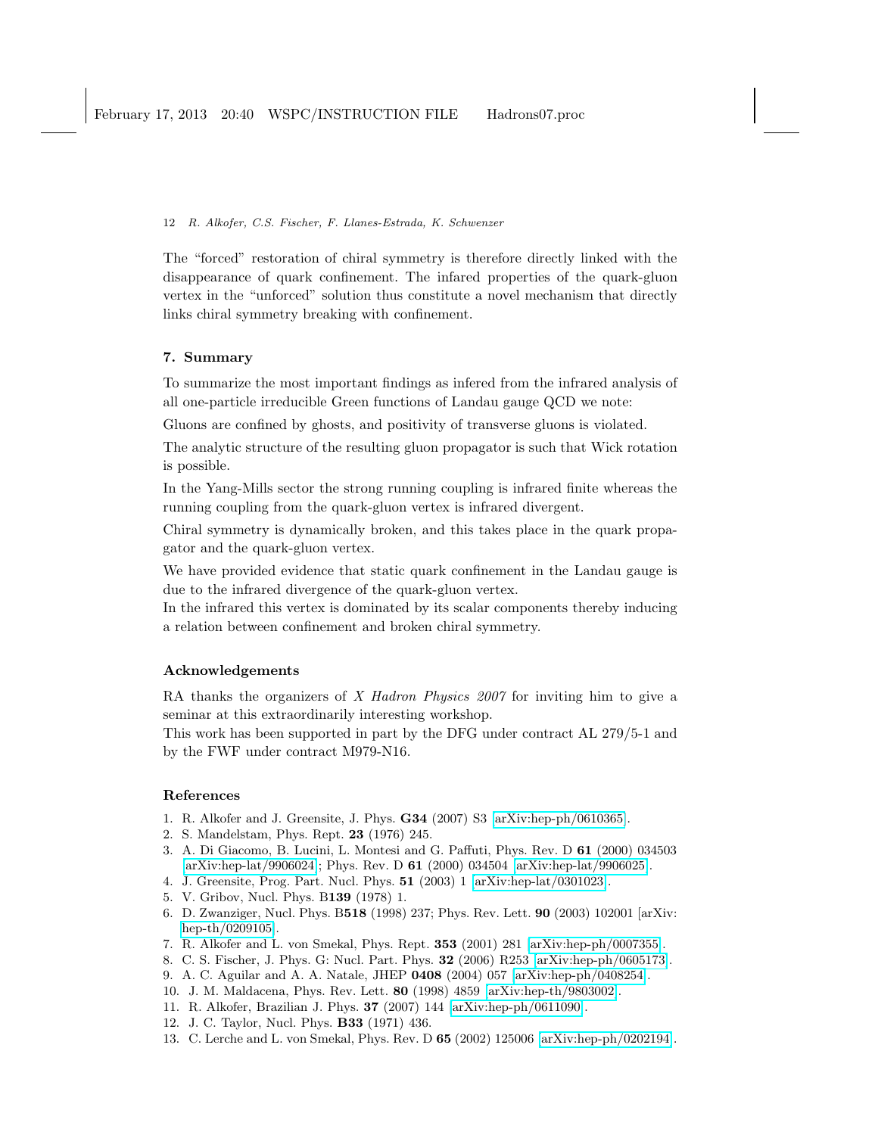The "forced" restoration of chiral symmetry is therefore directly linked with the disappearance of quark confinement. The infared properties of the quark-gluon vertex in the "unforced" solution thus constitute a novel mechanism that directly links chiral symmetry breaking with confinement.

# 7. Summary

To summarize the most important findings as infered from the infrared analysis of all one-particle irreducible Green functions of Landau gauge QCD we note:

Gluons are confined by ghosts, and positivity of transverse gluons is violated.

The analytic structure of the resulting gluon propagator is such that Wick rotation is possible.

In the Yang-Mills sector the strong running coupling is infrared finite whereas the running coupling from the quark-gluon vertex is infrared divergent.

Chiral symmetry is dynamically broken, and this takes place in the quark propagator and the quark-gluon vertex.

We have provided evidence that static quark confinement in the Landau gauge is due to the infrared divergence of the quark-gluon vertex.

In the infrared this vertex is dominated by its scalar components thereby inducing a relation between confinement and broken chiral symmetry.

# Acknowledgements

RA thanks the organizers of X Hadron Physics 2007 for inviting him to give a seminar at this extraordinarily interesting workshop.

This work has been supported in part by the DFG under contract AL 279/5-1 and by the FWF under contract M979-N16.

# <span id="page-11-0"></span>References

- <span id="page-11-1"></span>1. R. Alkofer and J. Greensite, J. Phys. G34 (2007) S3 [\[arXiv:hep-ph/0610365\]](http://arxiv.org/abs/hep-ph/0610365).
- <span id="page-11-2"></span>2. S. Mandelstam, Phys. Rept. 23 (1976) 245.
- 3. A. Di Giacomo, B. Lucini, L. Montesi and G. Paffuti, Phys. Rev. D 61 (2000) 034503 [\[arXiv:hep-lat/9906024\]](http://arxiv.org/abs/hep-lat/9906024); Phys. Rev. D 61 (2000) 034504 [\[arXiv:hep-lat/9906025\]](http://arxiv.org/abs/hep-lat/9906025).
- <span id="page-11-4"></span><span id="page-11-3"></span>4. J. Greensite, Prog. Part. Nucl. Phys. 51 (2003) 1 [\[arXiv:hep-lat/0301023\]](http://arxiv.org/abs/hep-lat/0301023).
- <span id="page-11-5"></span>5. V. Gribov, Nucl. Phys. B139 (1978) 1.
- 6. D. Zwanziger, Nucl. Phys. B518 (1998) 237; Phys. Rev. Lett. 90 (2003) 102001 [arXiv: [hep-th/0209105\]](http://arxiv.org/abs/hep-th/0209105).
- <span id="page-11-7"></span><span id="page-11-6"></span>7. R. Alkofer and L. von Smekal, Phys. Rept. 353 (2001) 281 [\[arXiv:hep-ph/0007355\]](http://arxiv.org/abs/hep-ph/0007355).
- <span id="page-11-8"></span>8. C. S. Fischer, J. Phys. G: Nucl. Part. Phys. 32 (2006) R253 [\[arXiv:hep-ph/0605173\]](http://arxiv.org/abs/hep-ph/0605173).
- <span id="page-11-9"></span>9. A. C. Aguilar and A. A. Natale, JHEP 0408 (2004) 057 [\[arXiv:hep-ph/0408254\]](http://arxiv.org/abs/hep-ph/0408254).
- <span id="page-11-12"></span>10. J. M. Maldacena, Phys. Rev. Lett. 80 (1998) 4859 [\[arXiv:hep-th/9803002\]](http://arxiv.org/abs/hep-th/9803002).
- <span id="page-11-10"></span>11. R. Alkofer, Brazilian J. Phys. 37 (2007) 144 [\[arXiv:hep-ph/0611090\]](http://arxiv.org/abs/hep-ph/0611090).
- <span id="page-11-11"></span>12. J. C. Taylor, Nucl. Phys. B33 (1971) 436.
- 13. C. Lerche and L. von Smekal, Phys. Rev. D 65 (2002) 125006 [\[arXiv:hep-ph/0202194\]](http://arxiv.org/abs/hep-ph/0202194).